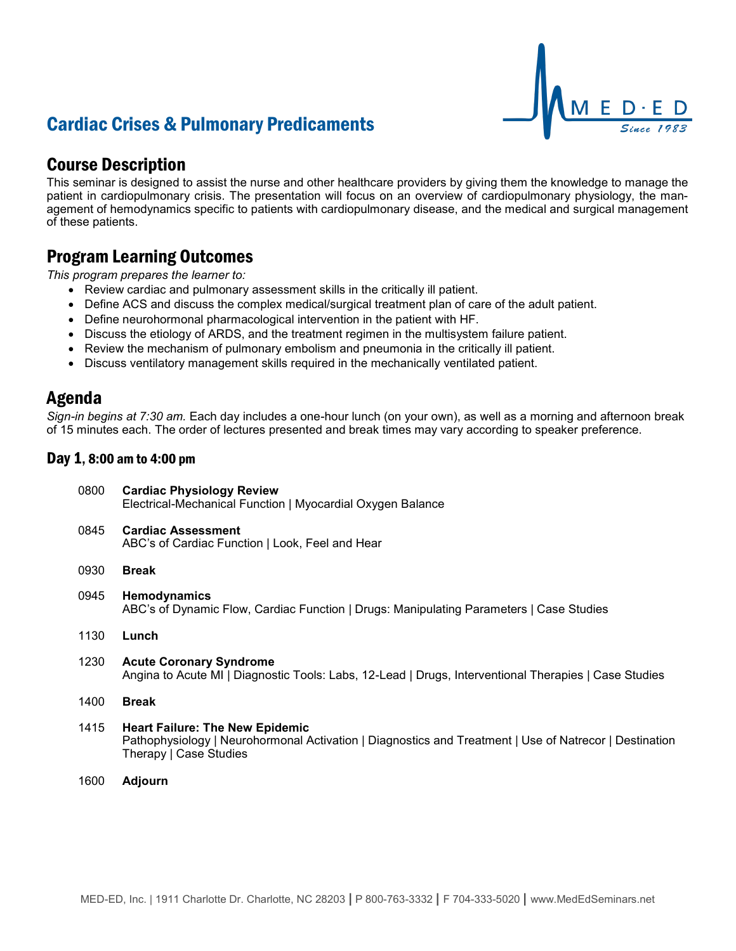# Cardiac Crises & Pulmonary Predicaments

## Course Description

This seminar is designed to assist the nurse and other healthcare providers by giving them the knowledge to manage the patient in cardiopulmonary crisis. The presentation will focus on an overview of cardiopulmonary physiology, the management of hemodynamics specific to patients with cardiopulmonary disease, and the medical and surgical management of these patients.

E.

### Program Learning Outcomes

*This program prepares the learner to:*

- Review cardiac and pulmonary assessment skills in the critically ill patient.
- Define ACS and discuss the complex medical/surgical treatment plan of care of the adult patient.
- Define neurohormonal pharmacological intervention in the patient with HF.
- Discuss the etiology of ARDS, and the treatment regimen in the multisystem failure patient.
- Review the mechanism of pulmonary embolism and pneumonia in the critically ill patient.
- Discuss ventilatory management skills required in the mechanically ventilated patient.

### Agenda

*Sign-in begins at 7:30 am.* Each day includes a one-hour lunch (on your own), as well as a morning and afternoon break of 15 minutes each. The order of lectures presented and break times may vary according to speaker preference.

### Day 1, 8:00 am to 4:00 pm

| 0800 | <b>Cardiac Physiology Review</b><br>Electrical-Mechanical Function   Myocardial Oxygen Balance                                                                             |
|------|----------------------------------------------------------------------------------------------------------------------------------------------------------------------------|
| 0845 | <b>Cardiac Assessment</b><br>ABC's of Cardiac Function   Look, Feel and Hear                                                                                               |
| 0930 | <b>Break</b>                                                                                                                                                               |
| 0945 | Hemodynamics<br>ABC's of Dynamic Flow, Cardiac Function   Drugs: Manipulating Parameters   Case Studies                                                                    |
| 1130 | Lunch                                                                                                                                                                      |
| 1230 | <b>Acute Coronary Syndrome</b><br>Angina to Acute MI   Diagnostic Tools: Labs, 12-Lead   Drugs, Interventional Therapies   Case Studies                                    |
| 1400 | <b>Break</b>                                                                                                                                                               |
| 1415 | <b>Heart Failure: The New Epidemic</b><br>Pathophysiology   Neurohormonal Activation   Diagnostics and Treatment   Use of Natrecor   Destination<br>Therapy   Case Studies |

1600 **Adjourn**